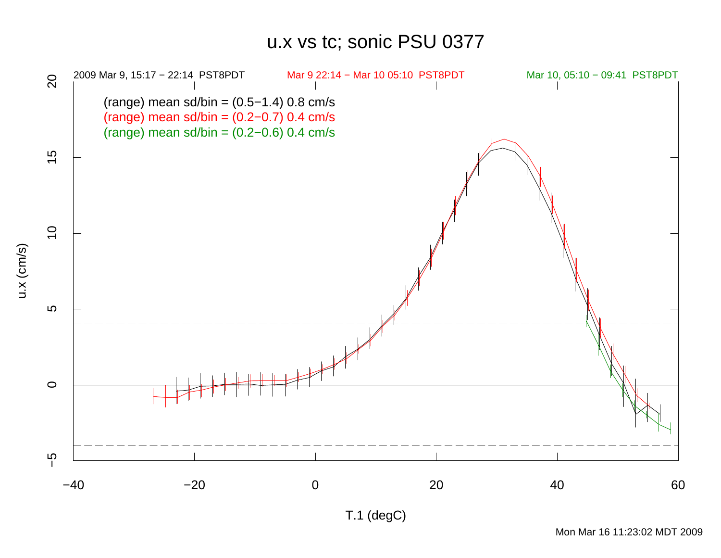## u.x vs tc; sonic PSU 0377

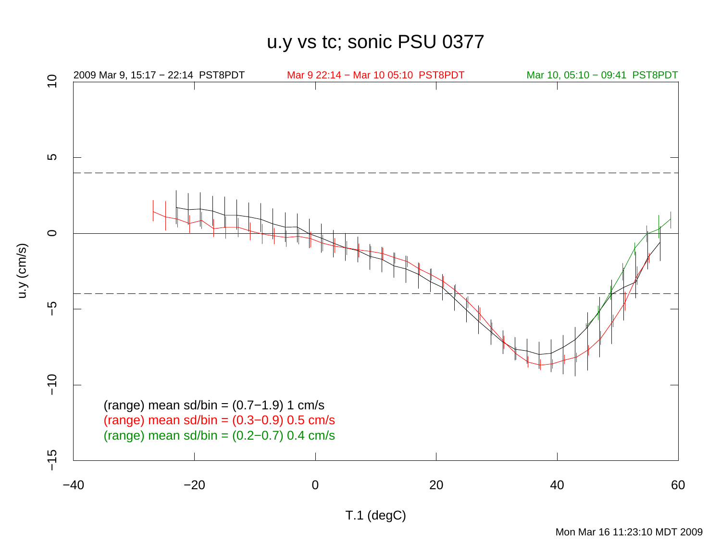u.y vs tc; sonic PSU 0377